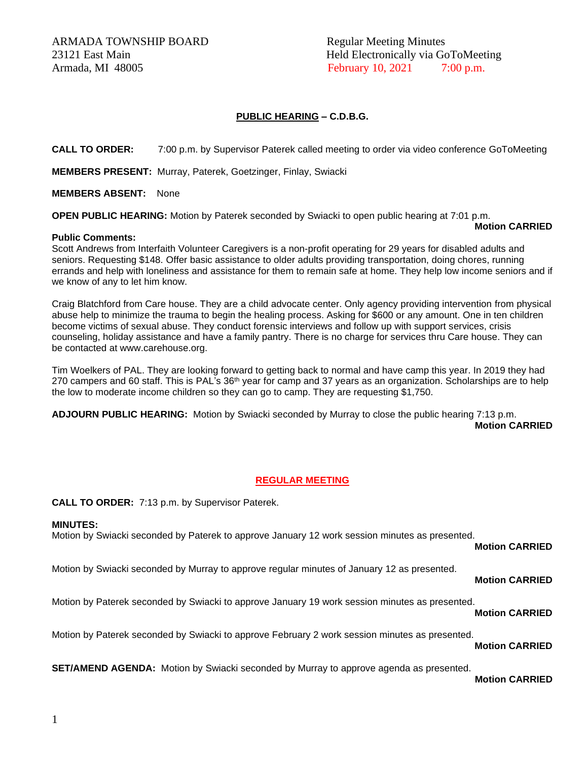ARMADA TOWNSHIP BOARD Regular Meeting Minutes Armada, MI 48005 **February 10, 2021** 7:00 p.m.

23121 East Main Held Electronically via GoToMeeting

### **PUBLIC HEARING – C.D.B.G.**

**CALL TO ORDER:** 7:00 p.m. by Supervisor Paterek called meeting to order via video conference GoToMeeting

**MEMBERS PRESENT:** Murray, Paterek, Goetzinger, Finlay, Swiacki

#### **MEMBERS ABSENT:** None

**OPEN PUBLIC HEARING:** Motion by Paterek seconded by Swiacki to open public hearing at 7:01 p.m.

#### **Motion CARRIED**

#### **Public Comments:**

Scott Andrews from Interfaith Volunteer Caregivers is a non-profit operating for 29 years for disabled adults and seniors. Requesting \$148. Offer basic assistance to older adults providing transportation, doing chores, running errands and help with loneliness and assistance for them to remain safe at home. They help low income seniors and if we know of any to let him know.

Craig Blatchford from Care house. They are a child advocate center. Only agency providing intervention from physical abuse help to minimize the trauma to begin the healing process. Asking for \$600 or any amount. One in ten children become victims of sexual abuse. They conduct forensic interviews and follow up with support services, crisis counseling, holiday assistance and have a family pantry. There is no charge for services thru Care house. They can be contacted at www.carehouse.org.

Tim Woelkers of PAL. They are looking forward to getting back to normal and have camp this year. In 2019 they had 270 campers and 60 staff. This is PAL's 36<sup>th</sup> year for camp and 37 years as an organization. Scholarships are to help the low to moderate income children so they can go to camp. They are requesting \$1,750.

**ADJOURN PUBLIC HEARING:** Motion by Swiacki seconded by Murray to close the public hearing 7:13 p.m. **Motion CARRIED**

# **REGULAR MEETING**

**CALL TO ORDER:** 7:13 p.m. by Supervisor Paterek.

#### **MINUTES:**

Motion by Swiacki seconded by Paterek to approve January 12 work session minutes as presented.

**Motion CARRIED**

Motion by Swiacki seconded by Murray to approve regular minutes of January 12 as presented.

**Motion CARRIED**

Motion by Paterek seconded by Swiacki to approve January 19 work session minutes as presented.

**Motion CARRIED**

Motion by Paterek seconded by Swiacki to approve February 2 work session minutes as presented.

**Motion CARRIED**

**SET/AMEND AGENDA:** Motion by Swiacki seconded by Murray to approve agenda as presented.

**Motion CARRIED**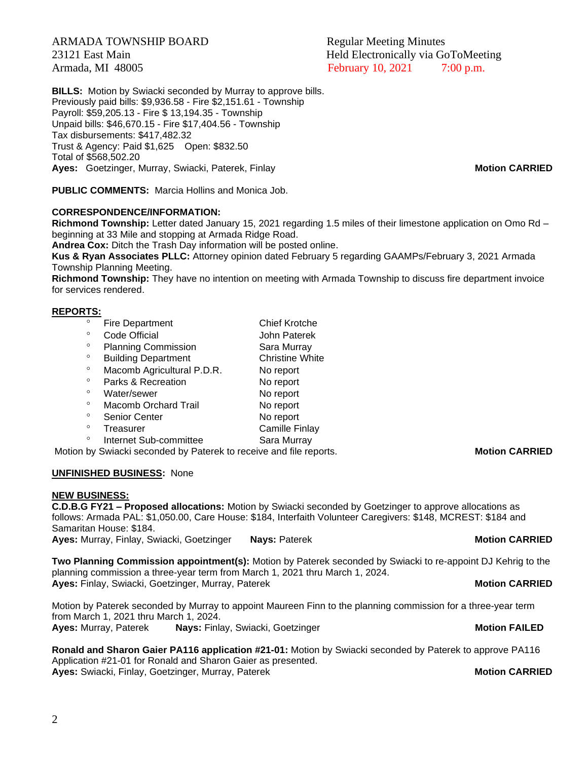ARMADA TOWNSHIP BOARD Regular Meeting Minutes

23121 East Main Held Electronically via GoToMeeting Armada, MI 48005 **February 10, 2021** 7:00 p.m.

**BILLS:** Motion by Swiacki seconded by Murray to approve bills. Previously paid bills: \$9,936.58 - Fire \$2,151.61 - Township Payroll: \$59,205.13 - Fire \$ 13,194.35 - Township Unpaid bills: \$46,670.15 - Fire \$17,404.56 - Township Tax disbursements: \$417,482.32 Trust & Agency: Paid \$1,625 Open: \$832.50 Total of \$568,502.20 **Ayes:** Goetzinger, Murray, Swiacki, Paterek, Finlay **Motion CARRIED**

**PUBLIC COMMENTS:** Marcia Hollins and Monica Job.

# **CORRESPONDENCE/INFORMATION:**

**Richmond Township:** Letter dated January 15, 2021 regarding 1.5 miles of their limestone application on Omo Rd – beginning at 33 Mile and stopping at Armada Ridge Road.

**Andrea Cox:** Ditch the Trash Day information will be posted online.

**Kus & Ryan Associates PLLC:** Attorney opinion dated February 5 regarding GAAMPs/February 3, 2021 Armada Township Planning Meeting.

**Richmond Township:** They have no intention on meeting with Armada Township to discuss fire department invoice for services rendered.

### **REPORTS:**

- ° Fire Department Chief Krotche<br>€ Code Official Chief Lohn Paterek Code Official **Code Official** John Paterek <sup>o</sup> Planning Commission **Sara Murray** <sup>o</sup> Building Department Christine White<br>
<sup>8</sup> Measure Agricultural B.D.B. No report Macomb Agricultural P.D.R. No report <sup>o</sup> Parks & Recreation No report <sup>o</sup> Water/sewer No report <sup>o</sup> Macomb Orchard Trail No report <sup>o</sup> Senior Center No report<br>
No report<br>
Semille Expression
- Treasurer **Camille Finlay** <sup>o</sup> Internet Sub-committee Sara Murray

Motion by Swiacki seconded by Paterek to receive and file reports. **Motion CARRIED** 

# **UNFINISHED BUSINESS:** None

#### **NEW BUSINESS:**

**C.D.B.G FY21 – Proposed allocations:** Motion by Swiacki seconded by Goetzinger to approve allocations as follows: Armada PAL: \$1,050.00, Care House: \$184, Interfaith Volunteer Caregivers: \$148, MCREST: \$184 and Samaritan House: \$184. **Ayes:** Murray, Finlay, Swiacki, Goetzinger **Nays:** Paterek **Motion CARRIED**

**Two Planning Commission appointment(s):** Motion by Paterek seconded by Swiacki to re-appoint DJ Kehrig to the planning commission a three-year term from March 1, 2021 thru March 1, 2024. **Ayes:** Finlay, Swiacki, Goetzinger, Murray, Paterek **Music Communist CARRIED Motion CARRIED** 

Motion by Paterek seconded by Murray to appoint Maureen Finn to the planning commission for a three-year term from March 1, 2021 thru March 1, 2024. **Ayes:** Murray, Paterek **Nays:** Finlay, Swiacki, Goetzinger **Motion FAILED**

**Ronald and Sharon Gaier PA116 application #21-01:** Motion by Swiacki seconded by Paterek to approve PA116 Application #21-01 for Ronald and Sharon Gaier as presented. **Ayes:** Swiacki, Finlay, Goetzinger, Murray, Paterek **Music Communist CARRIED Motion CARRIED**